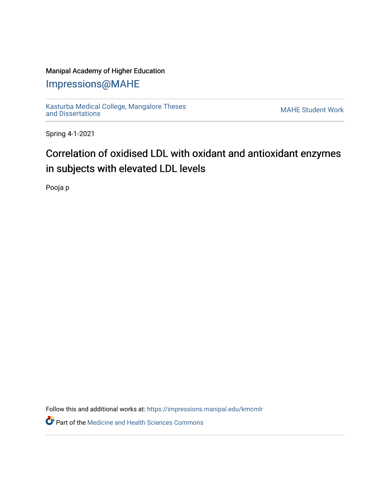## Manipal Academy of Higher Education

## [Impressions@MAHE](https://impressions.manipal.edu/)

[Kasturba Medical College, Mangalore Theses](https://impressions.manipal.edu/kmcmlr) [and Dissertations](https://impressions.manipal.edu/kmcmlr) [MAHE Student Work](https://impressions.manipal.edu/student-work) 

Spring 4-1-2021

# Correlation of oxidised LDL with oxidant and antioxidant enzymes in subjects with elevated LDL levels

Pooja p

Follow this and additional works at: [https://impressions.manipal.edu/kmcmlr](https://impressions.manipal.edu/kmcmlr?utm_source=impressions.manipal.edu%2Fkmcmlr%2F153&utm_medium=PDF&utm_campaign=PDFCoverPages) 

**Part of the Medicine and Health Sciences Commons**